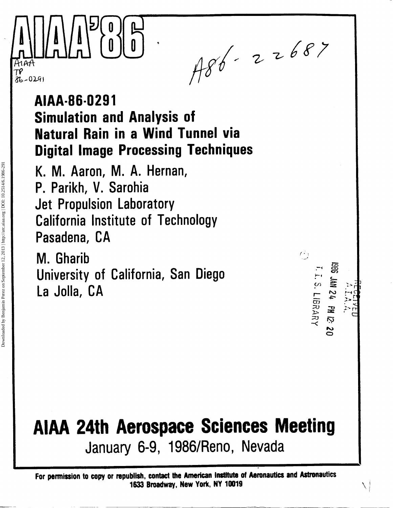

 $486 - 22687$ 

 $\overline{\mathbf{z}}$ 

 $\begin{array}{c} \n\cdot \quad 0 \quad 0 \quad \text{if} \quad \text{if} \quad \text{if} \quad \text{if} \quad \text{if} \quad \text{if} \quad \text{if} \quad \text{if} \quad \text{if} \quad \text{if} \quad \text{if} \quad \text{if} \quad \text{if} \quad \text{if} \quad \text{if} \quad \text{if} \quad \text{if} \quad \text{if} \quad \text{if} \quad \text{if} \quad \text{if} \quad \text{if} \quad \text{if} \quad \text{if} \quad \text{if} \quad \text{if} \quad \text{if} \quad \text{if} \quad \text{$ 

r **b4** r-' - **E-**m **2-** 

 $\setminus$ 

**i- 4** 

# **AIAA-86-029 1 Simulation and Analysis of Natural Rain in a Wind Tunnel via Digital Image Processing Techniques**

**K.** M. Aaron, M. A. Hernan, P. Parikh, V. Sarohia Jet Propulsion Laboratory California Institute of Technology Pasadena, CA

M. Gharib f,, University of California, San Diego La Jolla, CA

# **AlAA 24th Aerospace Sciences Meeting**  January 6-9, 1986/Reno, Nevada

For permission to copy or republish, contact the American Institute of Aeronautics and Astronautics **1633 Broadway, New Yotk, NY 10019**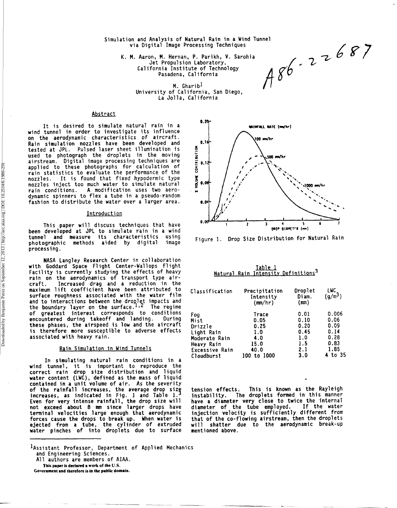**via Digital Image Processing Techniques** 

Simulation and Analysis of Natural Rain in a Wind Tunnel<br>via Digital Image Processing Techniques<br>K. M. Aaron, M. Hernan, P. Parikh, V. Sarohia<br>det Propulsion Laboratory,<br>california Institute of Technology<br>Pasadena, Califor **K. M. Aaron, M. Hernan, P. Parikh, V. Sarohia Jet Propulsion Laboratory, California Institute of Technology Pasadena, Cal ifornia** 

M. Gharib<sup>1</sup> **University of California, San Diego, La Jolla, California** 

# **Abstract**

**It is desired to simulate natural rain in a wind tunnel in order to investigate its influence on the aerodynamic characteristics of aircraft. Rain simulation nozzles have been developed and tested at JPL. Pulsed laser sheet illumination is used to photograph the droplets in the moving airstream. Digital image processing techniques are applied to these photographs for calculation of rain statistics to evaluate the performance of the nozzles. It is found that fixed hypodermic type nozzles inject too much water to simulate natural rain conditions. A modification uses two aerodynamic spinners to flex a tube in a pseudo-random fashion to distribute the water over a larger area.** 

# **Jntroduction**

**This paper will discuss techniques that have been developed at JPL to simulate rain in a wind tunnel and measure its characteristics using photographic methods aided by digital image processing.** 

**NASA Langley Research Center in collaboration with Goddard Space Flight Center-Wallops Flight Facility is currently studying the effects of heavy rain on the aerodynamics of transport type aircraft. Increased drag and a reduction in the maximum lift coefficient have been attributed to surface roughness associated with the water film and to interactions between the dro let impacts and**  the boundary layer on the surface.<sup>1,2</sup> The regime **of greatest interest corresponds to conditions encountered during takeoff and 1 andi ng** . **During these phases, the airspeed is low and the aircraft is therefore more susceptible to adverse effects associated with heavy rain.** 

# **Rain Simulation in Wind Tunnels**

**In simulating natural rain conditions in a wind tunnel, it is important to reproduce the correct rain drop size distribution and liquid water content (LWC), defined as the mass of liquid contained in a unit volume of air. As the severity**  of the rainfall increases, the average drop size<br>increases, as indicated in Fig. 1 and Table 1.<sup>3</sup> **Even for very intense rainfall, the drop size will not exceed about 8** mn **since larger drops have terminal velocities large enough that aerodynamic forces cause the drops to break up. When water is ejected from a tube, the cylinder of extruded water pinches of into droplets due to surface** 



- **All authors are members of AIM.**
- **This paper is declared a work of the U.S.**
- **Government and therefore is in the public domain.**



**Figure 1. Drop Size Distribution for Natural Rain** 

|  | Table 1                                         |  |
|--|-------------------------------------------------|--|
|  | Natural Rain Intensity Definitions <sup>3</sup> |  |

| Classification    | Precipitation<br>Intensity<br>(mm/hr) | Droplet<br>Diam.<br>(mn) | LWC.<br>$(g/m^3)$ |
|-------------------|---------------------------------------|--------------------------|-------------------|
| Foq               | Trace                                 | 0.01                     | 0.006             |
| Mist              | 0.05                                  | 0.10                     | 0.06              |
| Drizzle           | 0.25                                  | 0.20                     | 0.09              |
| Light Rain        | 1.0                                   | 0.45                     | 0.14              |
| Moderate Rain     | 4.0                                   | 1.0                      | 0.28              |
| <b>Heavy Rain</b> | 15.0                                  | 1.5                      | 0.83              |
| Excessive Rain    | 40.0                                  | 2.1                      | 1.85              |
| Cloudburst        | 100 to 1000                           | 3.0                      | 4 to 35           |

**tension effects. This is known as the Rayleigh instability. The droplets formed in this manner have a diameter very close to twice the internal diameter of the tube employed. If the water injection velocity is sufficiently different from**  that of the co-flowing airstream, then the droplets **will shatter due to the aerodynamic break-up mentioned above.**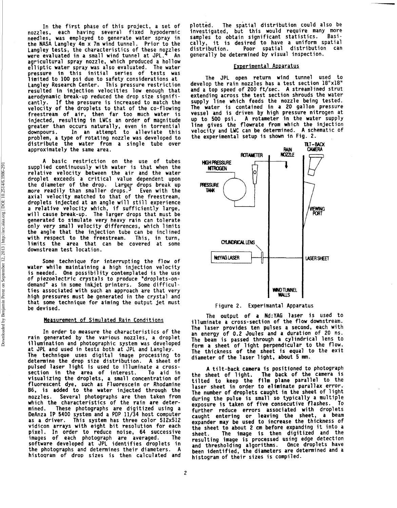**In the first phase of this project, a set of nozzles, each having several fixed hypodermic needles, was employed to generate water spray in the NASA Langley 4m x 7m wind tunnel. Prior to the**  angley tests, the characteristics of these nozzles were evaluated in a small wind tunnel at JPL.<sup>4</sup> An **agricultural spray nozzle, which produced a hol 1 ow elliptic water spray was also evaluated. The water pressure in this initial series of tests was limited to 100 psi due to safety considerations at Langley Research Center. This pressure restriction resulted in injection velocities low enough that aerodynamic break-up reduced the drop size significantly. If the pressure is increased to match the velocity of the droplets to that of the co-flowing freestream of air, then far too much water is injected, resulting in LWCs an order of magnitude greater than occurs naturally, even in torrential downpours. In an attempt to alleviate this problem, a type of rotating nozzle was developed to distribute the water from a single tube over approximately the same area.** 

**A basic restriction on the use of tubes supplied continuously with water is that when the relative velocity between the air and the water droplet exceeds a critical value dependent upon the diameter of the drop. Larger drops break up more readily than smaller dr0~s.3 Even with the axial velocity matched to that of the freestream, droplets injected at an angle will still experience a relative velocity which, if sufficiently large, will cause break-up. The larger drops that must be generated to simulate very heavy rain can tolerate only very small velocity differences, which 1 imits the angle that the injection tube can be inclined with respect to the freestream. This, in turn, limits the area that can be covered at some downstream test location.** 

**Some technique for interrupting the flow of water while maintaining a high injection velocity is needed. One possibility contemplated is the use of piezoelectric crystals to produce "droplets-ondemand" as in some inkjet printers. Some difficulties associated with such an approach are that very high pressures must be generated in the crystal and that some technique for aiming the output jet must be devised.** 

# **kasurement of Simulated Rain Conditions**

**In order to measure the characteristics of the rain generated by the various nozzles, a droplet illumination and photographic system was developed at JPL and used in tests both at JPL and Langley.** 

**The technique uses digital image processing to determine the drop size distribution. A sheet of pulsed laser light is used to illuminate a crosssection in the area of interest. To aid in visualizing the droplets, a small concentration of**  fluorescent dye, such as Fluorescein or Rhodamine **86, is added to the water injected through the nozzles. Several photographs are then taken from which the characteristics of the rain are determined. These photographs are digitized using a DeAnza IP 5400 system and a PDP 11/34 host computer as a driver. This system has three color 512x512 vidicon arrays with eight bit resolution for each pixel. In order to reduce noise, 64 successive**  images of each photograph are averaged. software developed at JPL identifies droplets in **the photographs and determines their diameters. A histogram of drop sizes is then calculated and** 

**plotted. The spatial distribution could also be investigated, but this would require many more samples to obtain significant statistics. Basically, it is desired to have a uniform spatial distribution. Poor spatial distribution can generally be determined by visual inspection.** 

#### **Experimental Apparatus**

**The JPL open return wind tunnel used to develop the rain nozzles has a test section 18"x18" and a top speed of 200 ft/sec. A stream1 ined strut extending across the test section shrouds the water**  supply line which feeds the nozzle being tested.<br>The water is contained in a 20 gallon pressure **The water is contained in a 20 gallon pressure vessel and is driven by high pressure nitrogen at up to 500 psi. A rotameter in the water supply line gives the flowrate from which the injection velocity and LWC can be determined. A schematic of the experimental setup is shown in Fig. 2.** 



# **Figure 2. Experimantal Apparatus**

**The output of a Nd:YAG laser is used to illuminate a cross-section of the flow downstream. The laser provides ten pulses a second, each with an energy of 0.2 Joules and a duration of 20 ns. The beam is passed through a cylindrical lens to form a sheet of light perpendicular to the flow. The thickness of the sheet is equal to the exit diameter of the laser 1 ight, about 5** mn.

**A tilt-back camera is positioned to photograph the sheet of light. The back of the camera is tilted to keep the film plane parallel to the laser sheet in order to eliminate parallax error. The number of droplets caught in the sheet of 1 ight during the pulse is small so typically a multiple**  exposure is taken of five consecutive flashes. **further reduce errors associated with dropl ets caught entering or leaving the sheet, a beam expander may be used to increase the thickness of the sheet to about 2 cm before expanding it into a sheet. The image is then digitized and the resulting image is processed using edge detection and thresholding algorithms. Once droplets have been identified, the diameters are determined and a histogram of their sizes is compiled.**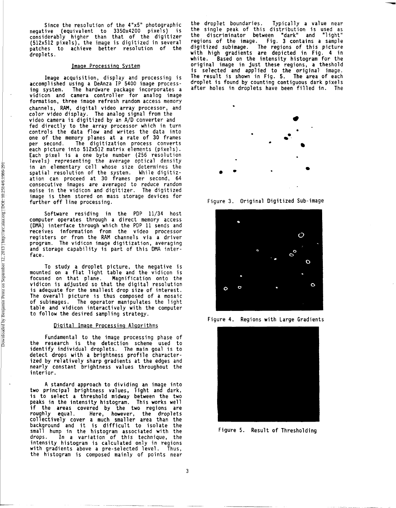Since the resolution of the 4"x5" photographic negative (equivalent to 3350x4200 pixels) is considerably higher than that of the digitizer (512x512 pixels), the image is digitized in several patches to achieve better resolution of the droplets.

# Image Processing System

Image acquisition, display and processing is accomplished using a DeAnza IP 5400 image processing system. The hardware package incorporates a vidicon and camera controller for analog image formation, three image refresh random access memory channels, RAM, digital video array processor, and color video display. The analog signal from the video camera is digitized by an A/D converter and fed directly to the array processor which in turn controls the data flow and writes the data into one of the memory planes at a rate of 30 frames<br>per second. The digitization process converts The digitization process converts each picture into 512x512 matrix elements (pixels). Each pixel is a one byte number (256 resolution levels) representing the average optical density in an elementary cell whose size determines the spatial resolution of the system. While digitization can proceed at 30 frames per second, 64 consecutive images are averaged to reduce random noise in the vidicon and digitizer. The digitized image is then stored on mass storage devices for further off line processing.

Software residing in the PDP 11/34 host computer operates through a direct memory access (DMA) interface through which the PDP 11 sends and receives information from the video processor registers or from the RAM channels via a driver program. The vidicon image digitization, averaging and storage capability is part of this DMA interface.

Downloaded by Benjamin Perez on September 12, 2013 | http://arc.aiaa.org | DOI: 10.2514/6.1986-291 Downloaded by Benjamin Perez on September 12, 2013 | http://arc.aiaa.org | DOI: 10.2514/6.1986-29

To study a droplet picture, the negative is mounted on a flat light table and the vidicon is<br>focused on that plane. Magnification onto the Magnification onto the vidicon is adjusted so that the digital resolution is adequate for the smallest drop size of interest. The overall picture is thus composed of a mosaic of subimages. The operator manipulates the 1 ight table and vidicon interactively with the computer to follow the desired sampling strategy.

#### Digital Image Processing Algorithms

Fundamental to the image processing phase of the research is the detection scheme used to identify individual droplets. The main goal is to detect drops with a brightness profile characterized by relatively sharp gradients at the edges and nearly constant brightness values throughout the interior.

A standard approach to dividing an image into two principal brightness values, light and dark, is to select a threshold midway between the two peaks in the intensity histogram. This works well if the areas covered by the two regions are roughly equal. Here, however, the droplets collectively cover a much smaller area than the background and it is difficult to isolate the small hump in the histogram associated with the drops. In a variation of this technique, the intensity histogram is calculated only in regions with gradients above a pre-selected level. Thus, the histogram is composed mainly of points near

the droplet boundaries. Typically a value near the single peak of this distribution is used as the discriminator between "dark" and "light" regions of the image. Fig. 3 contains a sample digitized subimage. The regions of this picture with high gradients are depicted in Fig. 4 in<br>white. Based on the intensity histogram for the Based on the intensity histogram for the original image in just these regions, a theshold is selected and applied to the original image. The result is shown in Fig. 5. The area of each droplet is found by counting contiguous dark pixels after holes in droplets have been filled in. The



Figure 3. Original Digitized Sub-image



Figure 4. Regions with Large Gradients



Figure 5. Result of Thresholding

 $\overline{3}$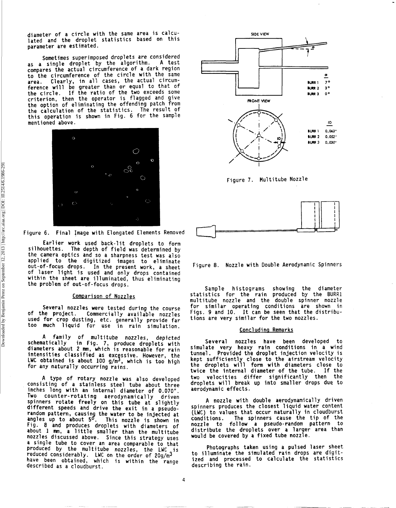diameter of a circle with the same area is calculated and the droplet statistics based on this parameter are estimated.

Sometimes superimposed droplets are considered<br>signale droplet by the algorithm. A test as a single droplet by the algorithm. compares the actual circumference of a dark region to the circumference of the circle with the same area. Clearly, in all cases, the actual circumference will be greater than or equal to that of the circle. If the ratio of the two exceeds some criterion, then the operator is flagged and give the option of eliminating the offending patch from the calculation of the statistics. The result of this operation is shown in Fig. 6 for the sample mentioned above.



Figure 6. Final Image with Elongated Elements Removed

Earlier work used back-lit droplets to form silhouettes. The depth of field was determined by the camera optics and so a sharpness test was also applied to the digitized images to eliminate out-of-focus drops. In the present work, a sheet of laser light is used and only drops contained within the sheet are illuminated, thus eliminating the problem of out-of-focus drops.

#### Comparison of Nozzles

Several nozzles were tested during the course of the project. Commercially available nozzles used for crop dusting, etc. generally provide far too much liquid for use in rain simulation.

family of multitube nozzles, depicted schematically in Fig. 7, produce droplets with diameters about 2 mn, which is reasonable for rain intensities classified as excessive. However, the<br>L<sup>WC</sup> obtained is about 100 g/m<sup>3</sup>, which is too high for any naturally occurring rains.

A type of rotary nozzle was also developed consisting of a stainless steel tube about three inches long with an internal diameter of 0.070". Two counter-rotating aerodynamically driven spinners rotate freely on this tube at slightly different speeds and drive the exit in a pseudorandom pattern, causing the water to be injected at<br>angles up to about 5º. This nozzle is shown in Fig. 8 and produces droplets with diameters of about 1 mn, a little smaller than the multitube nozzles discussed above. Since this strategy uses a single tube to cover an area comparable to that produced by the multitube nozzles, the LWC is reduced considerably. LWC on the order of 20g/m<sup>3</sup><br>nave been obtained, which is within the range described as a cloudburst.



Figure 7. Multitube Nozzle





Sample histograms showing the diameter statistics for the rain produced by the BURR1 multitube nozzle and the double spinner nozzle for similar operating conditions are shown in Figs. 9 and 10. It can be seen that the distributions are very similar for the two nozzles.

#### Concl udinq Remarks

Several nozzles have been developed to simulate very heavy rain conditions in a wind tunnel. Provided the droplet injection velocity is kept sufficiently close to the airstream velocity the droplets will form with diameters close to twice the internal diameter of the tube. If the two velocities differ significantly then the droplets will break up into smaller drops due to aerodynamic effects.

A nozzle with double aerodynamically driven spinners produces the closest liquid water content (LWC) to values that occur naturally in cloudburst conditions. The spinners cause the tip of the nozzle to follow a pseudo-random pattern to distribute the droplets over a larger area than would be covered by a fixed tube nozzle.

Photographs taken using a pulsed laser sheet to illuminate the simulated rain drops are digitized and processed to calculate the statistics describing the rain.

4